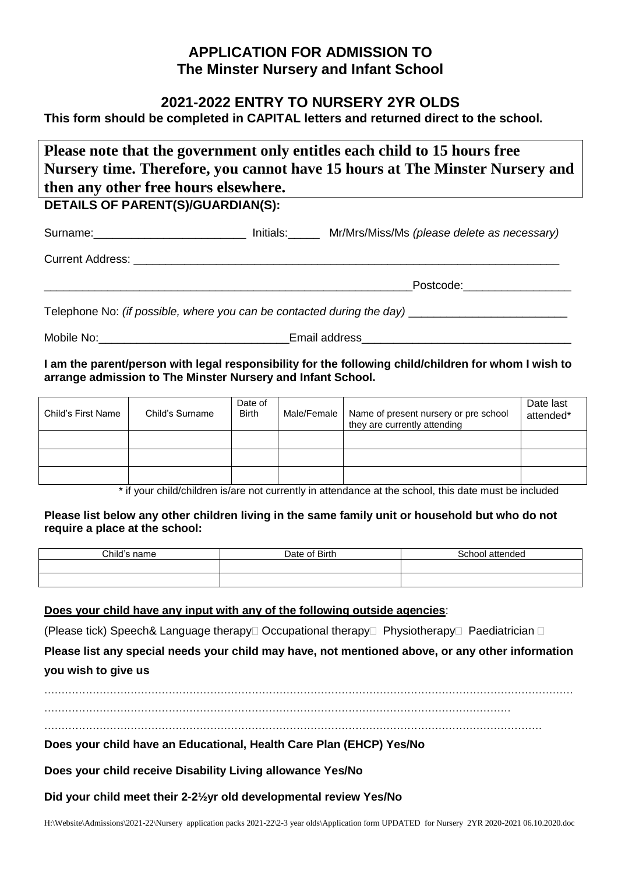# **APPLICATION FOR ADMISSION TO The Minster Nursery and Infant School**

### **2021-2022 ENTRY TO NURSERY 2YR OLDS**

**This form should be completed in CAPITAL letters and returned direct to the school.**

**Please note that the government only entitles each child to 15 hours free Nursery time. Therefore, you cannot have 15 hours at The Minster Nursery and then any other free hours elsewhere.**

## **DETAILS OF PARENT(S)/GUARDIAN(S):**

Surname:\_\_\_\_\_\_\_\_\_\_\_\_\_\_\_\_\_\_\_\_\_\_\_\_ Initials:\_\_\_\_\_ Mr/Mrs/Miss/Ms *(please delete as necessary)* Current Address: **Example 20** and 20 and 20 and 20 and 20 and 20 and 20 and 20 and 20 and 20 and 20 and 20 and 20 and 20 and 20 and 20 and 20 and 20 and 20 and 20 and 20 and 20 and 20 and 20 and 20 and 20 and 20 and 20 and Postcode: Telephone No: *(if possible, where you can be contacted during the day)* \_\_\_\_\_\_\_\_\_\_\_\_\_\_\_\_\_\_\_\_\_\_\_\_\_

Mobile No: example and the mail address and the mail address

**I am the parent/person with legal responsibility for the following child/children for whom I wish to arrange admission to The Minster Nursery and Infant School.**

| Child's First Name | Child's Surname | Date of<br><b>Birth</b> | Male/Female | Name of present nursery or pre school<br>they are currently attending | Date last<br>attended* |
|--------------------|-----------------|-------------------------|-------------|-----------------------------------------------------------------------|------------------------|
|                    |                 |                         |             |                                                                       |                        |
|                    |                 |                         |             |                                                                       |                        |
|                    |                 |                         |             |                                                                       |                        |

\* if your child/children is/are not currently in attendance at the school, this date must be included

**Please list below any other children living in the same family unit or household but who do not require a place at the school:**

| Child's name | Date of Birth | School attended |
|--------------|---------------|-----------------|
|              |               |                 |
|              |               |                 |

#### **Does your child have any input with any of the following outside agencies**:

(Please tick) Speech& Language therapy  $\Box$  Occupational therapy  $\Box$  Physiotherapy  $\Box$  Paediatrician  $\Box$ 

**Please list any special needs your child may have, not mentioned above, or any other information you wish to give us**

………………………………………………………………………………………………………………………………………

. The same independent of the same independent of the same independent of the same independent of the same independent of the same independent of the same independent of the same independent of the same independent of the

**Does your child have an Educational, Health Care Plan (EHCP) Yes/No**

**Does your child receive Disability Living allowance Yes/No**

**Did your child meet their 2-2½yr old developmental review Yes/No**